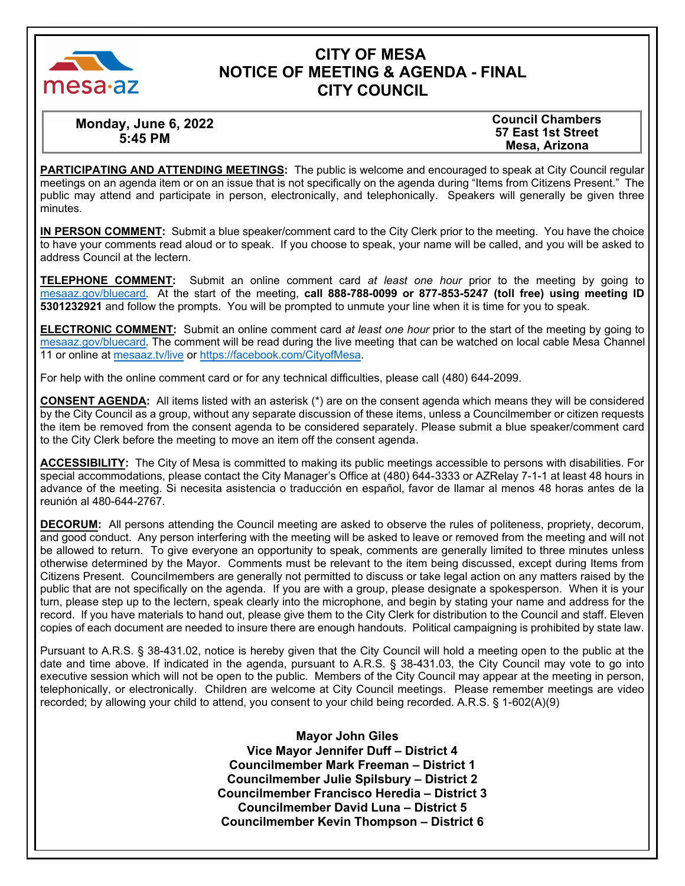

# **CITY OF MESA NOTICE OF MEETING & AGENDA - FINAL CITY COUNCIL**

**Monday, June 6, 2022 5:45 PM** 

**Council Chambers 57 East 1st Street Mesa, Arizona** 

**PARTICIPATING AND ATTENDING MEETINGS:** The public is welcome and encouraged to speak at City Council regular meetings on an agenda item or on an issue that is not specifically on the agenda during "Items from Citizens Present." The public may attend and participate in person, electronically, and telephonically. Speakers will generally be given three minutes.

**IN PERSON COMMENT:** Submit a blue speaker/comment card to the City Clerk prior to the meeting. You have the choice to have your comments read aloud or to speak. If you choose to speak, your name will be called, and you will be asked to address Council at the lectern.

**TELEPHONE COMMENT:** Submit an online comment card *at least one hour* prior to the meeting by going to m[esaaz.gov/bluecard.](https://www.mesaaz.gov/government/city-council-meetings/online-meeting-comment-card) At the start of the meeting, **call 888-788-0099 or 877-853-5247 (toll free) using meeting ID 5301232921** and follow the prompts. You will be prompted to unmute your line when it is time for you to speak.

**ELECTRONIC COMMENT:** Submit an online comment card *at least one hour* prior to the start of the meeting by going to m[esaaz.gov/bluecard.](https://www.mesaaz.gov/government/city-council-meetings/online-meeting-comment-card) The comment will be read during the live meeting that can be watched on local cable Mesa Channel 11 or online at mesa[az.tv](http://www.mesa11.com/live)/live or [https://facebook.com/CityofMesa.](https://www.facebook.com/CityofMesa)

For help with the online comment card or for any technical difficulties, please call (480) 644-2099.

**CONSENT AGENDA:** All items listed with an asterisk (\*) are on the consent agenda which means they will be considered by the City Council as a group, without any separate discussion of these items, unless a Councilmember or citizen requests the item be removed from the consent agenda to be considered separately. Please submit a blue speaker/comment card to the City Clerk before the meeting to move an item off the consent agenda.

**ACCESSIBILITY:** The City of Mesa is committed to making its public meetings accessible to persons with disabilities. For special accommodations, please contact the City Manager's Office at (480) 644-3333 or AZRelay 7-1-1 at least 48 hours in advance of the meeting. Si necesita asistencia o traducción en español, favor de llamar al menos 48 horas antes de la reunión al 480-644-2767.

**DECORUM:** All persons attending the Council meeting are asked to observe the rules of politeness, propriety, decorum, and good conduct. Any person interfering with the meeting will be asked to leave or removed from the meeting and will not be allowed to return. To give everyone an opportunity to speak, comments are generally limited to three minutes unless otherwise determined by the Mayor. Comments must be relevant to the item being discussed, except during Items from Citizens Present. Councilmembers are generally not permitted to discuss or take legal action on any matters raised by the public that are not specifically on the agenda. If you are with a group, please designate a spokesperson. When it is your turn, please step up to the lectern, speak clearly into the microphone, and begin by stating your name and address for the record. If you have materials to hand out, please give them to the City Clerk for distribution to the Council and staff. Eleven copies of each document are needed to insure there are enough handouts. Political campaigning is prohibited by state law.

Pursuant to A.R.S. § 38-431.02, notice is hereby given that the City Council will hold a meeting open to the public at the date and time above. If indicated in the agenda, pursuant to A.R.S. § 38-431.03, the City Council may vote to go into executive session which will not be open to the public. Members of the City Council may appear at the meeting in person, telephonically, or electronically. Children are welcome at City Council meetings. Please remember meetings are video recorded; by allowing your child to attend, you consent to your child being recorded. A.R.S. § 1-602(A)(9)

> **Mayor John Giles Vice Mayor Jennifer Duff – District 4 Councilmember Mark Freeman – District 1 Councilmember Julie Spilsbury – District 2 Councilmember Francisco Heredia – District 3 Councilmember David Luna – District 5 Councilmember Kevin Thompson – District 6**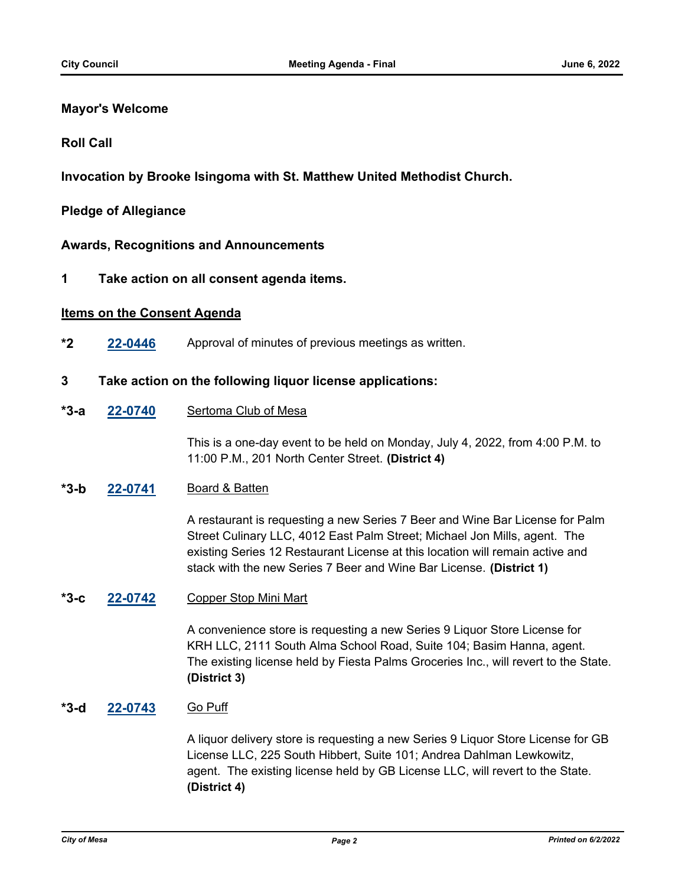## **Mayor's Welcome**

### **Roll Call**

**Invocation by Brooke Isingoma with St. Matthew United Methodist Church.**

### **Pledge of Allegiance**

**Awards, Recognitions and Announcements**

**1 Take action on all consent agenda items.**

### **Items on the Consent Agenda**

**\*2 [22-0446](http://mesa.legistar.com/gateway.aspx?m=l&id=/matter.aspx?key=18346)** Approval of minutes of previous meetings as written.

### **3 Take action on the following liquor license applications:**

**[22-0740](http://mesa.legistar.com/gateway.aspx?m=l&id=/matter.aspx?key=18631)** Sertoma Club of Mesa **\*3-a**

> This is a one-day event to be held on Monday, July 4, 2022, from 4:00 P.M. to 11:00 P.M., 201 North Center Street. **(District 4)**

#### **[22-0741](http://mesa.legistar.com/gateway.aspx?m=l&id=/matter.aspx?key=18632)** Board & Batten **\*3-b**

A restaurant is requesting a new Series 7 Beer and Wine Bar License for Palm Street Culinary LLC, 4012 East Palm Street; Michael Jon Mills, agent. The existing Series 12 Restaurant License at this location will remain active and stack with the new Series 7 Beer and Wine Bar License. **(District 1)**

#### **[22-0742](http://mesa.legistar.com/gateway.aspx?m=l&id=/matter.aspx?key=18633)** Copper Stop Mini Mart **\*3-c**

A convenience store is requesting a new Series 9 Liquor Store License for KRH LLC, 2111 South Alma School Road, Suite 104; Basim Hanna, agent. The existing license held by Fiesta Palms Groceries Inc., will revert to the State. **(District 3)**

#### **[22-0743](http://mesa.legistar.com/gateway.aspx?m=l&id=/matter.aspx?key=18634)** Go Puff **\*3-d**

A liquor delivery store is requesting a new Series 9 Liquor Store License for GB License LLC, 225 South Hibbert, Suite 101; Andrea Dahlman Lewkowitz, agent. The existing license held by GB License LLC, will revert to the State. **(District 4)**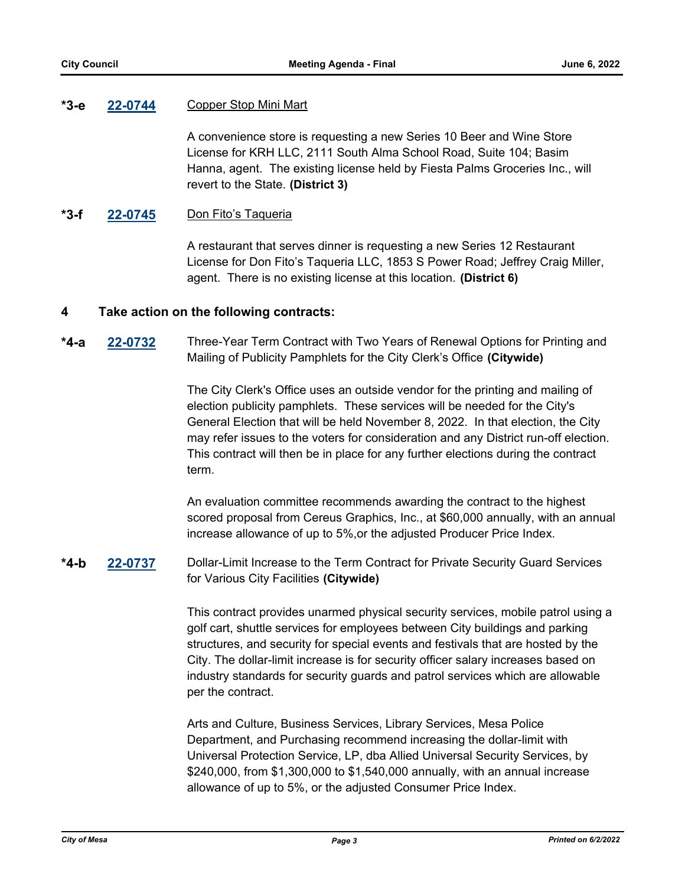#### **[22-0744](http://mesa.legistar.com/gateway.aspx?m=l&id=/matter.aspx?key=18635)** Copper Stop Mini Mart **\*3-e**

A convenience store is requesting a new Series 10 Beer and Wine Store License for KRH LLC, 2111 South Alma School Road, Suite 104; Basim Hanna, agent. The existing license held by Fiesta Palms Groceries Inc., will revert to the State. **(District 3)**

#### **[22-0745](http://mesa.legistar.com/gateway.aspx?m=l&id=/matter.aspx?key=18636)** Don Fito's Taqueria **\*3-f**

A restaurant that serves dinner is requesting a new Series 12 Restaurant License for Don Fito's Taqueria LLC, 1853 S Power Road; Jeffrey Craig Miller, agent. There is no existing license at this location. **(District 6)**

## **4 Take action on the following contracts:**

**[22-0732](http://mesa.legistar.com/gateway.aspx?m=l&id=/matter.aspx?key=18623)** Three-Year Term Contract with Two Years of Renewal Options for Printing and Mailing of Publicity Pamphlets for the City Clerk's Office **(Citywide) \*4-a**

> The City Clerk's Office uses an outside vendor for the printing and mailing of election publicity pamphlets. These services will be needed for the City's General Election that will be held November 8, 2022. In that election, the City may refer issues to the voters for consideration and any District run-off election. This contract will then be in place for any further elections during the contract term.

An evaluation committee recommends awarding the contract to the highest scored proposal from Cereus Graphics, Inc., at \$60,000 annually, with an annual increase allowance of up to 5%,or the adjusted Producer Price Index.

**[22-0737](http://mesa.legistar.com/gateway.aspx?m=l&id=/matter.aspx?key=18628)** Dollar-Limit Increase to the Term Contract for Private Security Guard Services for Various City Facilities **(Citywide) \*4-b**

> This contract provides unarmed physical security services, mobile patrol using a golf cart, shuttle services for employees between City buildings and parking structures, and security for special events and festivals that are hosted by the City. The dollar-limit increase is for security officer salary increases based on industry standards for security guards and patrol services which are allowable per the contract.

Arts and Culture, Business Services, Library Services, Mesa Police Department, and Purchasing recommend increasing the dollar-limit with Universal Protection Service, LP, dba Allied Universal Security Services, by \$240,000, from \$1,300,000 to \$1,540,000 annually, with an annual increase allowance of up to 5%, or the adjusted Consumer Price Index.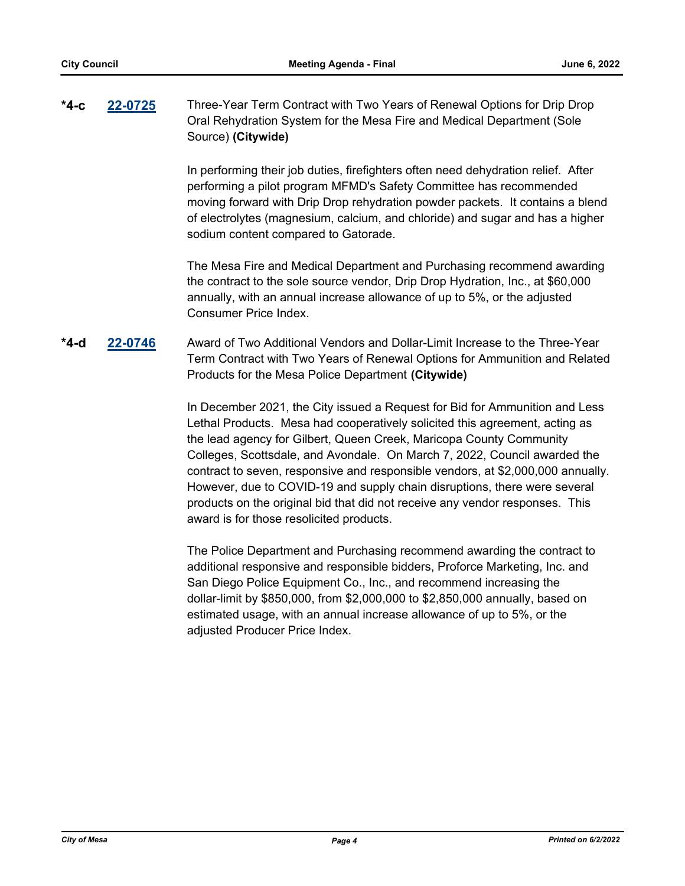### **[22-0725](http://mesa.legistar.com/gateway.aspx?m=l&id=/matter.aspx?key=18616)** Three-Year Term Contract with Two Years of Renewal Options for Drip Drop Oral Rehydration System for the Mesa Fire and Medical Department (Sole Source) **(Citywide) \*4-c**

In performing their job duties, firefighters often need dehydration relief. After performing a pilot program MFMD's Safety Committee has recommended moving forward with Drip Drop rehydration powder packets. It contains a blend of electrolytes (magnesium, calcium, and chloride) and sugar and has a higher sodium content compared to Gatorade.

The Mesa Fire and Medical Department and Purchasing recommend awarding the contract to the sole source vendor, Drip Drop Hydration, Inc., at \$60,000 annually, with an annual increase allowance of up to 5%, or the adjusted Consumer Price Index.

### **[22-0746](http://mesa.legistar.com/gateway.aspx?m=l&id=/matter.aspx?key=18637)** Award of Two Additional Vendors and Dollar-Limit Increase to the Three-Year Term Contract with Two Years of Renewal Options for Ammunition and Related Products for the Mesa Police Department **(Citywide) \*4-d**

In December 2021, the City issued a Request for Bid for Ammunition and Less Lethal Products. Mesa had cooperatively solicited this agreement, acting as the lead agency for Gilbert, Queen Creek, Maricopa County Community Colleges, Scottsdale, and Avondale. On March 7, 2022, Council awarded the contract to seven, responsive and responsible vendors, at \$2,000,000 annually. However, due to COVID-19 and supply chain disruptions, there were several products on the original bid that did not receive any vendor responses. This award is for those resolicited products.

The Police Department and Purchasing recommend awarding the contract to additional responsive and responsible bidders, Proforce Marketing, Inc. and San Diego Police Equipment Co., Inc., and recommend increasing the dollar-limit by \$850,000, from \$2,000,000 to \$2,850,000 annually, based on estimated usage, with an annual increase allowance of up to 5%, or the adjusted Producer Price Index.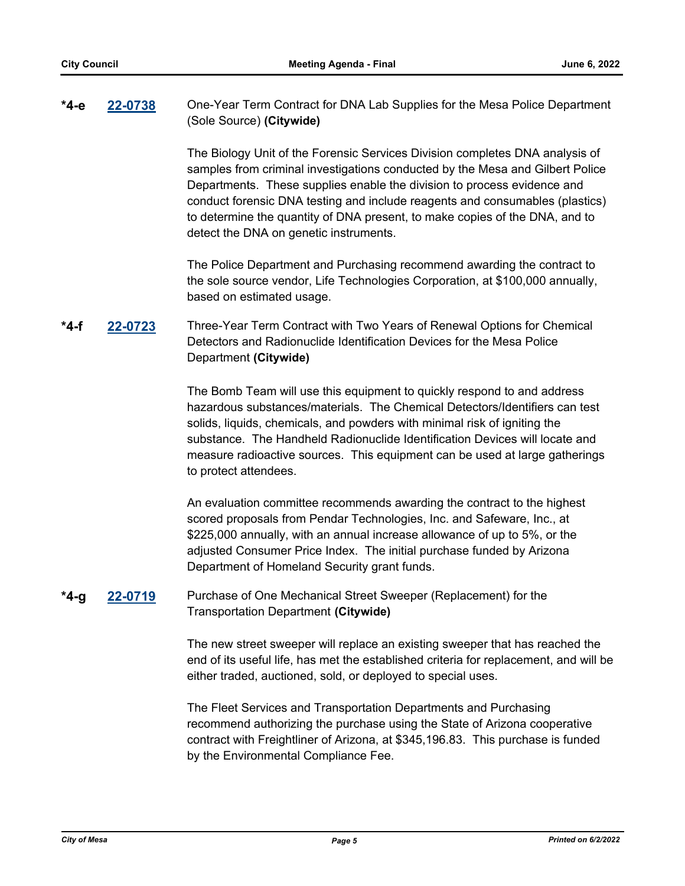#### **[22-0738](http://mesa.legistar.com/gateway.aspx?m=l&id=/matter.aspx?key=18629)** One-Year Term Contract for DNA Lab Supplies for the Mesa Police Department (Sole Source) **(Citywide) \*4-e**

The Biology Unit of the Forensic Services Division completes DNA analysis of samples from criminal investigations conducted by the Mesa and Gilbert Police Departments. These supplies enable the division to process evidence and conduct forensic DNA testing and include reagents and consumables (plastics) to determine the quantity of DNA present, to make copies of the DNA, and to detect the DNA on genetic instruments.

The Police Department and Purchasing recommend awarding the contract to the sole source vendor, Life Technologies Corporation, at \$100,000 annually, based on estimated usage.

### **[22-0723](http://mesa.legistar.com/gateway.aspx?m=l&id=/matter.aspx?key=18614)** Three-Year Term Contract with Two Years of Renewal Options for Chemical Detectors and Radionuclide Identification Devices for the Mesa Police Department **(Citywide) \*4-f**

The Bomb Team will use this equipment to quickly respond to and address hazardous substances/materials. The Chemical Detectors/Identifiers can test solids, liquids, chemicals, and powders with minimal risk of igniting the substance. The Handheld Radionuclide Identification Devices will locate and measure radioactive sources. This equipment can be used at large gatherings to protect attendees.

An evaluation committee recommends awarding the contract to the highest scored proposals from Pendar Technologies, Inc. and Safeware, Inc., at \$225,000 annually, with an annual increase allowance of up to 5%, or the adjusted Consumer Price Index. The initial purchase funded by Arizona Department of Homeland Security grant funds.

#### **[22-0719](http://mesa.legistar.com/gateway.aspx?m=l&id=/matter.aspx?key=18610)** Purchase of One Mechanical Street Sweeper (Replacement) for the Transportation Department **(Citywide) \*4-g**

The new street sweeper will replace an existing sweeper that has reached the end of its useful life, has met the established criteria for replacement, and will be either traded, auctioned, sold, or deployed to special uses.

The Fleet Services and Transportation Departments and Purchasing recommend authorizing the purchase using the State of Arizona cooperative contract with Freightliner of Arizona, at \$345,196.83. This purchase is funded by the Environmental Compliance Fee.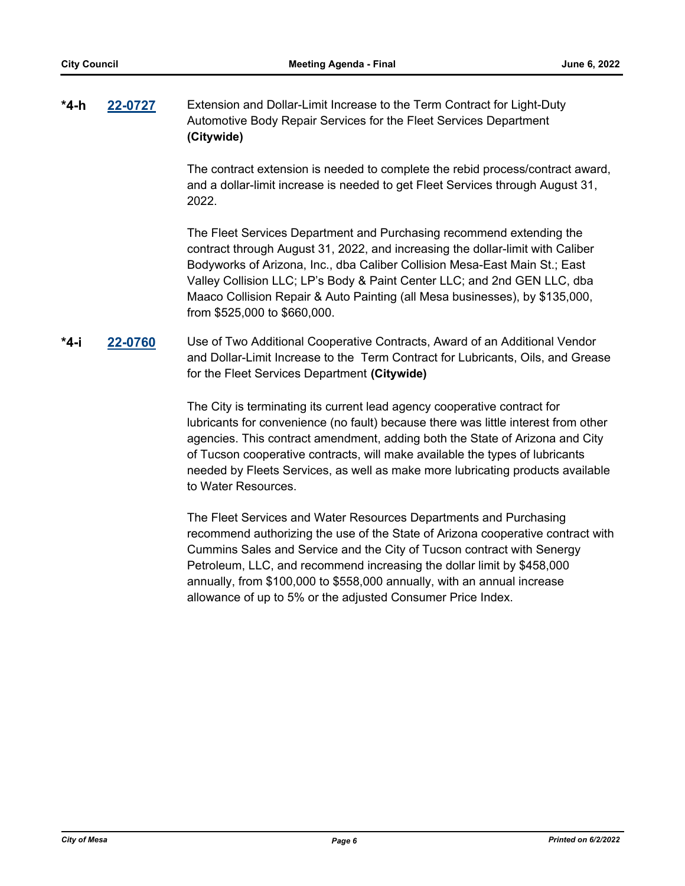### **[22-0727](http://mesa.legistar.com/gateway.aspx?m=l&id=/matter.aspx?key=18618)** Extension and Dollar-Limit Increase to the Term Contract for Light-Duty Automotive Body Repair Services for the Fleet Services Department **(Citywide) \*4-h**

The contract extension is needed to complete the rebid process/contract award, and a dollar-limit increase is needed to get Fleet Services through August 31, 2022.

The Fleet Services Department and Purchasing recommend extending the contract through August 31, 2022, and increasing the dollar-limit with Caliber Bodyworks of Arizona, Inc., dba Caliber Collision Mesa-East Main St.; East Valley Collision LLC; LP's Body & Paint Center LLC; and 2nd GEN LLC, dba Maaco Collision Repair & Auto Painting (all Mesa businesses), by \$135,000, from \$525,000 to \$660,000.

### **[22-0760](http://mesa.legistar.com/gateway.aspx?m=l&id=/matter.aspx?key=18651)** Use of Two Additional Cooperative Contracts, Award of an Additional Vendor and Dollar-Limit Increase to the Term Contract for Lubricants, Oils, and Grease for the Fleet Services Department **(Citywide) \*4-i**

The City is terminating its current lead agency cooperative contract for lubricants for convenience (no fault) because there was little interest from other agencies. This contract amendment, adding both the State of Arizona and City of Tucson cooperative contracts, will make available the types of lubricants needed by Fleets Services, as well as make more lubricating products available to Water Resources.

The Fleet Services and Water Resources Departments and Purchasing recommend authorizing the use of the State of Arizona cooperative contract with Cummins Sales and Service and the City of Tucson contract with Senergy Petroleum, LLC, and recommend increasing the dollar limit by \$458,000 annually, from \$100,000 to \$558,000 annually, with an annual increase allowance of up to 5% or the adjusted Consumer Price Index.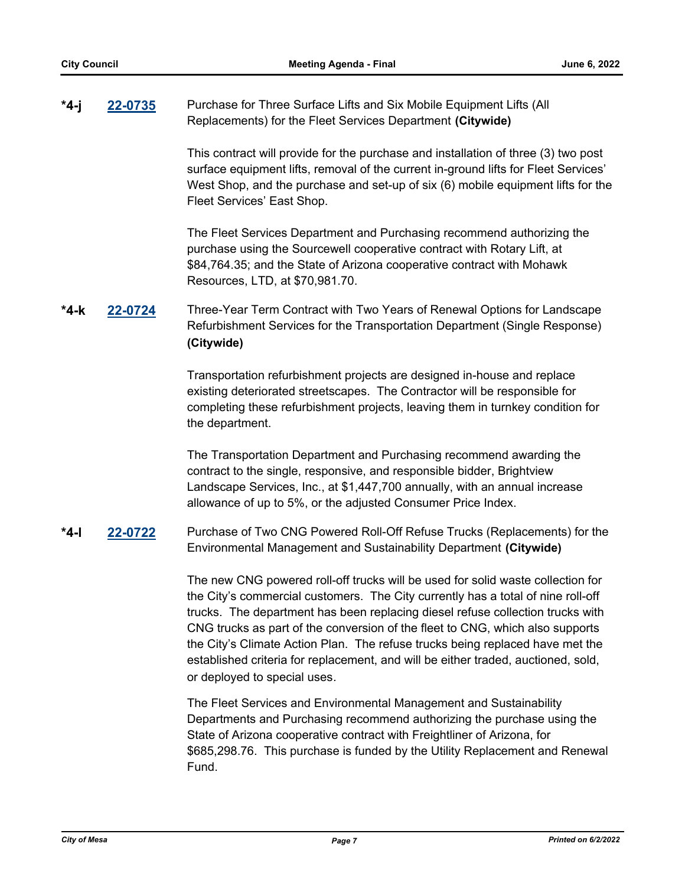#### **[22-0735](http://mesa.legistar.com/gateway.aspx?m=l&id=/matter.aspx?key=18626)** Purchase for Three Surface Lifts and Six Mobile Equipment Lifts (All Replacements) for the Fleet Services Department **(Citywide) \*4-j**

This contract will provide for the purchase and installation of three (3) two post surface equipment lifts, removal of the current in-ground lifts for Fleet Services' West Shop, and the purchase and set-up of six (6) mobile equipment lifts for the Fleet Services' East Shop.

The Fleet Services Department and Purchasing recommend authorizing the purchase using the Sourcewell cooperative contract with Rotary Lift, at \$84,764.35; and the State of Arizona cooperative contract with Mohawk Resources, LTD, at \$70,981.70.

**[22-0724](http://mesa.legistar.com/gateway.aspx?m=l&id=/matter.aspx?key=18615)** Three-Year Term Contract with Two Years of Renewal Options for Landscape Refurbishment Services for the Transportation Department (Single Response) **(Citywide) \*4-k**

> Transportation refurbishment projects are designed in-house and replace existing deteriorated streetscapes. The Contractor will be responsible for completing these refurbishment projects, leaving them in turnkey condition for the department.

The Transportation Department and Purchasing recommend awarding the contract to the single, responsive, and responsible bidder, Brightview Landscape Services, Inc., at \$1,447,700 annually, with an annual increase allowance of up to 5%, or the adjusted Consumer Price Index.

**[22-0722](http://mesa.legistar.com/gateway.aspx?m=l&id=/matter.aspx?key=18613)** Purchase of Two CNG Powered Roll-Off Refuse Trucks (Replacements) for the Environmental Management and Sustainability Department **(Citywide) \*4-l**

> The new CNG powered roll-off trucks will be used for solid waste collection for the City's commercial customers. The City currently has a total of nine roll-off trucks. The department has been replacing diesel refuse collection trucks with CNG trucks as part of the conversion of the fleet to CNG, which also supports the City's Climate Action Plan. The refuse trucks being replaced have met the established criteria for replacement, and will be either traded, auctioned, sold, or deployed to special uses*.*

The Fleet Services and Environmental Management and Sustainability Departments and Purchasing recommend authorizing the purchase using the State of Arizona cooperative contract with Freightliner of Arizona, for \$685,298.76. This purchase is funded by the Utility Replacement and Renewal Fund.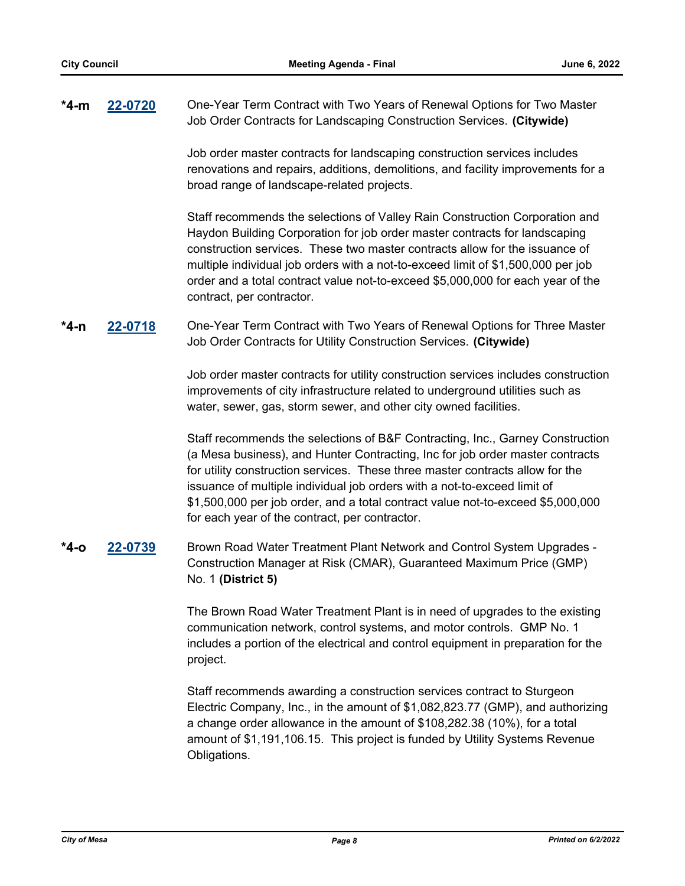| *4-m | 22-0720 | One-Year Term Contract with Two Years of Renewal Options for Two Master |
|------|---------|-------------------------------------------------------------------------|
|      |         | Job Order Contracts for Landscaping Construction Services. (Citywide)   |

Job order master contracts for landscaping construction services includes renovations and repairs, additions, demolitions, and facility improvements for a broad range of landscape-related projects.

Staff recommends the selections of Valley Rain Construction Corporation and Haydon Building Corporation for job order master contracts for landscaping construction services. These two master contracts allow for the issuance of multiple individual job orders with a not-to-exceed limit of \$1,500,000 per job order and a total contract value not-to-exceed \$5,000,000 for each year of the contract, per contractor.

**[22-0718](http://mesa.legistar.com/gateway.aspx?m=l&id=/matter.aspx?key=18609)** One-Year Term Contract with Two Years of Renewal Options for Three Master Job Order Contracts for Utility Construction Services. **(Citywide) \*4-n**

> Job order master contracts for utility construction services includes construction improvements of city infrastructure related to underground utilities such as water, sewer, gas, storm sewer, and other city owned facilities.

> Staff recommends the selections of B&F Contracting, Inc., Garney Construction (a Mesa business), and Hunter Contracting, Inc for job order master contracts for utility construction services. These three master contracts allow for the issuance of multiple individual job orders with a not-to-exceed limit of \$1,500,000 per job order, and a total contract value not-to-exceed \$5,000,000 for each year of the contract, per contractor.

### **[22-0739](http://mesa.legistar.com/gateway.aspx?m=l&id=/matter.aspx?key=18630)** Brown Road Water Treatment Plant Network and Control System Upgrades - Construction Manager at Risk (CMAR), Guaranteed Maximum Price (GMP) No. 1 **(District 5) \*4-o**

The Brown Road Water Treatment Plant is in need of upgrades to the existing communication network, control systems, and motor controls. GMP No. 1 includes a portion of the electrical and control equipment in preparation for the project.

Staff recommends awarding a construction services contract to Sturgeon Electric Company, Inc., in the amount of \$1,082,823.77 (GMP), and authorizing a change order allowance in the amount of \$108,282.38 (10%), for a total amount of \$1,191,106.15. This project is funded by Utility Systems Revenue Obligations.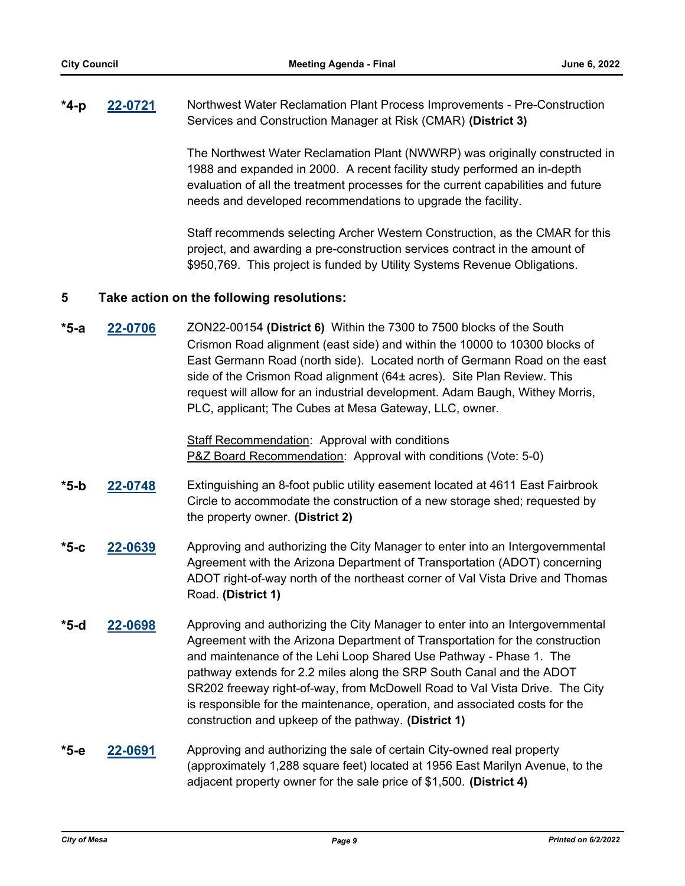#### **[22-0721](http://mesa.legistar.com/gateway.aspx?m=l&id=/matter.aspx?key=18612)** Northwest Water Reclamation Plant Process Improvements - Pre-Construction Services and Construction Manager at Risk (CMAR) **(District 3) \*4-p**

The Northwest Water Reclamation Plant (NWWRP) was originally constructed in 1988 and expanded in 2000. A recent facility study performed an in-depth evaluation of all the treatment processes for the current capabilities and future needs and developed recommendations to upgrade the facility.

Staff recommends selecting Archer Western Construction, as the CMAR for this project, and awarding a pre-construction services contract in the amount of \$950,769. This project is funded by Utility Systems Revenue Obligations.

## **5 Take action on the following resolutions:**

**[22-0706](http://mesa.legistar.com/gateway.aspx?m=l&id=/matter.aspx?key=18597)** ZON22-00154 **(District 6)** Within the 7300 to 7500 blocks of the South Crismon Road alignment (east side) and within the 10000 to 10300 blocks of East Germann Road (north side). Located north of Germann Road on the east side of the Crismon Road alignment (64± acres). Site Plan Review. This request will allow for an industrial development. Adam Baugh, Withey Morris, PLC, applicant; The Cubes at Mesa Gateway, LLC, owner. **\*5-a**

> **Staff Recommendation: Approval with conditions** P&Z Board Recommendation: Approval with conditions (Vote: 5-0)

- **[22-0748](http://mesa.legistar.com/gateway.aspx?m=l&id=/matter.aspx?key=18639)** Extinguishing an 8-foot public utility easement located at 4611 East Fairbrook Circle to accommodate the construction of a new storage shed; requested by the property owner. **(District 2) \*5-b**
- **[22-0639](http://mesa.legistar.com/gateway.aspx?m=l&id=/matter.aspx?key=18530)** Approving and authorizing the City Manager to enter into an Intergovernmental Agreement with the Arizona Department of Transportation (ADOT) concerning ADOT right-of-way north of the northeast corner of Val Vista Drive and Thomas Road. **(District 1) \*5-c**
- **[22-0698](http://mesa.legistar.com/gateway.aspx?m=l&id=/matter.aspx?key=18589)** Approving and authorizing the City Manager to enter into an Intergovernmental Agreement with the Arizona Department of Transportation for the construction and maintenance of the Lehi Loop Shared Use Pathway - Phase 1. The pathway extends for 2.2 miles along the SRP South Canal and the ADOT SR202 freeway right-of-way, from McDowell Road to Val Vista Drive. The City is responsible for the maintenance, operation, and associated costs for the construction and upkeep of the pathway. **(District 1) \*5-d**
- **[22-0691](http://mesa.legistar.com/gateway.aspx?m=l&id=/matter.aspx?key=18582)** Approving and authorizing the sale of certain City-owned real property (approximately 1,288 square feet) located at 1956 East Marilyn Avenue, to the adjacent property owner for the sale price of \$1,500. **(District 4) \*5-e**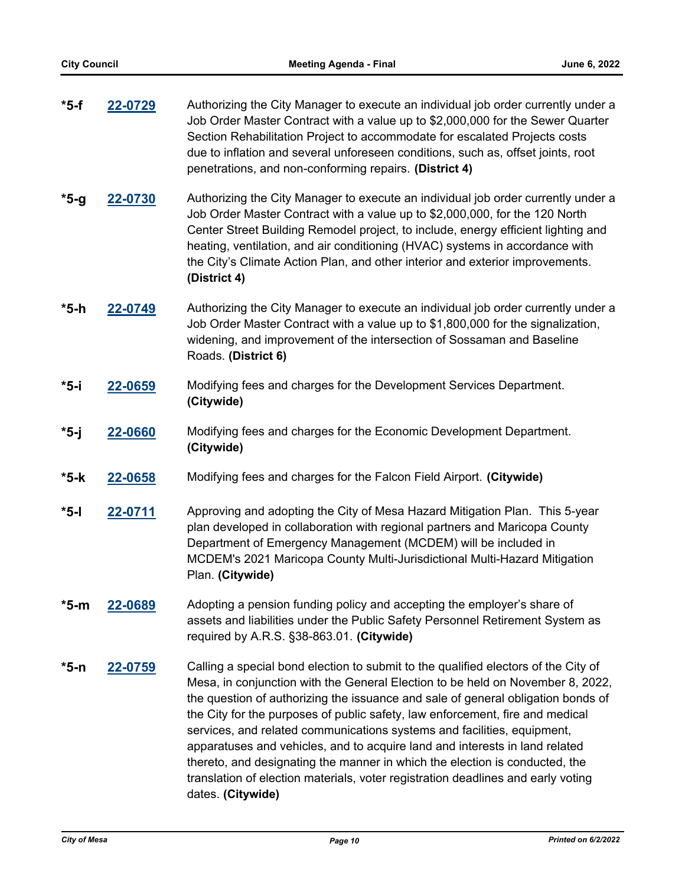| $*5-f$  | 22-0729 | Authorizing the City Manager to execute an individual job order currently under a<br>Job Order Master Contract with a value up to \$2,000,000 for the Sewer Quarter<br>Section Rehabilitation Project to accommodate for escalated Projects costs<br>due to inflation and several unforeseen conditions, such as, offset joints, root<br>penetrations, and non-conforming repairs. (District 4)                                                                                                                                                                                                                                                                        |
|---------|---------|------------------------------------------------------------------------------------------------------------------------------------------------------------------------------------------------------------------------------------------------------------------------------------------------------------------------------------------------------------------------------------------------------------------------------------------------------------------------------------------------------------------------------------------------------------------------------------------------------------------------------------------------------------------------|
| $*5-9$  | 22-0730 | Authorizing the City Manager to execute an individual job order currently under a<br>Job Order Master Contract with a value up to \$2,000,000, for the 120 North<br>Center Street Building Remodel project, to include, energy efficient lighting and<br>heating, ventilation, and air conditioning (HVAC) systems in accordance with<br>the City's Climate Action Plan, and other interior and exterior improvements.<br>(District 4)                                                                                                                                                                                                                                 |
| *5-h    | 22-0749 | Authorizing the City Manager to execute an individual job order currently under a<br>Job Order Master Contract with a value up to \$1,800,000 for the signalization,<br>widening, and improvement of the intersection of Sossaman and Baseline<br>Roads. (District 6)                                                                                                                                                                                                                                                                                                                                                                                                  |
| *5-i    | 22-0659 | Modifying fees and charges for the Development Services Department.<br>(Citywide)                                                                                                                                                                                                                                                                                                                                                                                                                                                                                                                                                                                      |
| $*5-j$  | 22-0660 | Modifying fees and charges for the Economic Development Department.<br>(Citywide)                                                                                                                                                                                                                                                                                                                                                                                                                                                                                                                                                                                      |
| $*5-k$  | 22-0658 | Modifying fees and charges for the Falcon Field Airport. (Citywide)                                                                                                                                                                                                                                                                                                                                                                                                                                                                                                                                                                                                    |
| $*$ 5-l | 22-0711 | Approving and adopting the City of Mesa Hazard Mitigation Plan. This 5-year<br>plan developed in collaboration with regional partners and Maricopa County<br>Department of Emergency Management (MCDEM) will be included in<br>MCDEM's 2021 Maricopa County Multi-Jurisdictional Multi-Hazard Mitigation<br>Plan. (Citywide)                                                                                                                                                                                                                                                                                                                                           |
| $*5-m$  | 22-0689 | Adopting a pension funding policy and accepting the employer's share of<br>assets and liabilities under the Public Safety Personnel Retirement System as<br>required by A.R.S. §38-863.01. (Citywide)                                                                                                                                                                                                                                                                                                                                                                                                                                                                  |
| *5-n    | 22-0759 | Calling a special bond election to submit to the qualified electors of the City of<br>Mesa, in conjunction with the General Election to be held on November 8, 2022,<br>the question of authorizing the issuance and sale of general obligation bonds of<br>the City for the purposes of public safety, law enforcement, fire and medical<br>services, and related communications systems and facilities, equipment,<br>apparatuses and vehicles, and to acquire land and interests in land related<br>thereto, and designating the manner in which the election is conducted, the<br>translation of election materials, voter registration deadlines and early voting |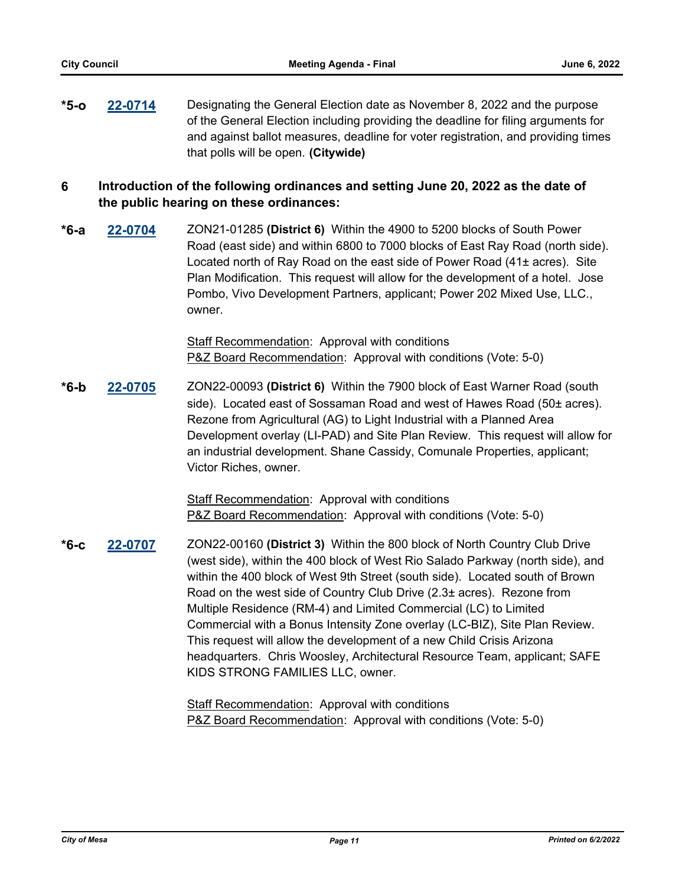**[22-0714](http://mesa.legistar.com/gateway.aspx?m=l&id=/matter.aspx?key=18605)** Designating the General Election date as November 8, 2022 and the purpose of the General Election including providing the deadline for filing arguments for and against ballot measures, deadline for voter registration, and providing times that polls will be open. **(Citywide) \*5-o**

## **6 Introduction of the following ordinances and setting June 20, 2022 as the date of the public hearing on these ordinances:**

**[22-0704](http://mesa.legistar.com/gateway.aspx?m=l&id=/matter.aspx?key=18595)** ZON21-01285 **(District 6)** Within the 4900 to 5200 blocks of South Power Road (east side) and within 6800 to 7000 blocks of East Ray Road (north side). Located north of Ray Road on the east side of Power Road (41± acres). Site Plan Modification. This request will allow for the development of a hotel. Jose Pombo, Vivo Development Partners, applicant; Power 202 Mixed Use, LLC., owner. **\*6-a**

> Staff Recommendation: Approval with conditions P&Z Board Recommendation: Approval with conditions (Vote: 5-0)

**[22-0705](http://mesa.legistar.com/gateway.aspx?m=l&id=/matter.aspx?key=18596)** ZON22-00093 **(District 6)** Within the 7900 block of East Warner Road (south side). Located east of Sossaman Road and west of Hawes Road (50± acres). Rezone from Agricultural (AG) to Light Industrial with a Planned Area Development overlay (LI-PAD) and Site Plan Review. This request will allow for an industrial development. Shane Cassidy, Comunale Properties, applicant; Victor Riches, owner. **\*6-b**

> Staff Recommendation: Approval with conditions P&Z Board Recommendation: Approval with conditions (Vote: 5-0)

**[22-0707](http://mesa.legistar.com/gateway.aspx?m=l&id=/matter.aspx?key=18598)** ZON22-00160 **(District 3)** Within the 800 block of North Country Club Drive (west side), within the 400 block of West Rio Salado Parkway (north side), and within the 400 block of West 9th Street (south side). Located south of Brown Road on the west side of Country Club Drive (2.3± acres). Rezone from Multiple Residence (RM-4) and Limited Commercial (LC) to Limited Commercial with a Bonus Intensity Zone overlay (LC-BIZ), Site Plan Review. This request will allow the development of a new Child Crisis Arizona headquarters. Chris Woosley, Architectural Resource Team, applicant; SAFE KIDS STRONG FAMILIES LLC, owner. **\*6-c**

> Staff Recommendation: Approval with conditions P&Z Board Recommendation: Approval with conditions (Vote: 5-0)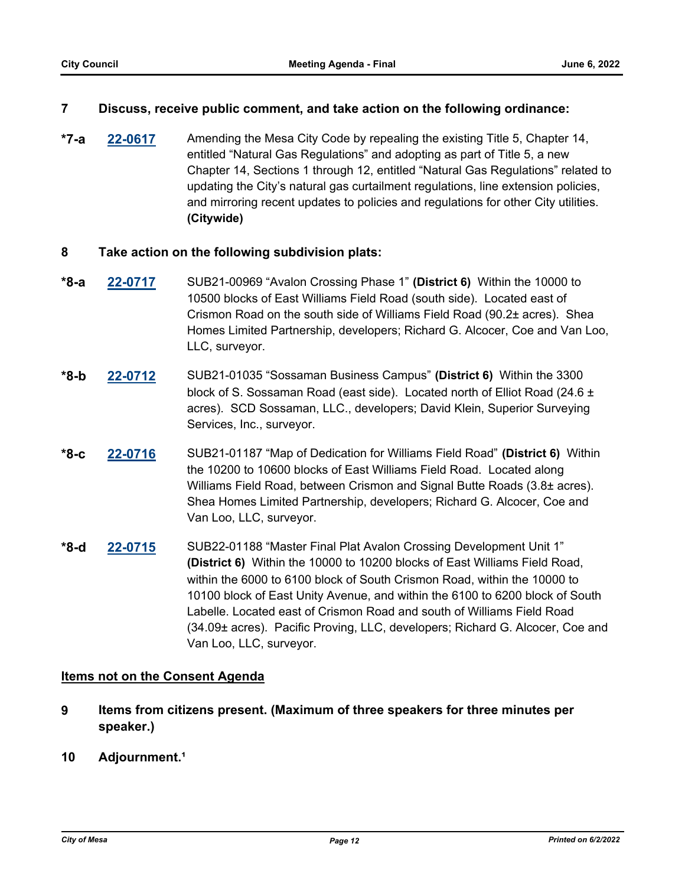## **7 Discuss, receive public comment, and take action on the following ordinance:**

**[22-0617](http://mesa.legistar.com/gateway.aspx?m=l&id=/matter.aspx?key=18509)** Amending the Mesa City Code by repealing the existing Title 5, Chapter 14, entitled "Natural Gas Regulations" and adopting as part of Title 5, a new Chapter 14, Sections 1 through 12, entitled "Natural Gas Regulations" related to updating the City's natural gas curtailment regulations, line extension policies, and mirroring recent updates to policies and regulations for other City utilities. **(Citywide) \*7-a**

## **8 Take action on the following subdivision plats:**

- **[22-0717](http://mesa.legistar.com/gateway.aspx?m=l&id=/matter.aspx?key=18608)** SUB21-00969 "Avalon Crossing Phase 1" **(District 6)** Within the 10000 to 10500 blocks of East Williams Field Road (south side). Located east of Crismon Road on the south side of Williams Field Road (90.2± acres). Shea Homes Limited Partnership, developers; Richard G. Alcocer, Coe and Van Loo, LLC, surveyor. **\*8-a**
- **[22-0712](http://mesa.legistar.com/gateway.aspx?m=l&id=/matter.aspx?key=18603)** SUB21-01035 "Sossaman Business Campus" **(District 6)** Within the 3300 block of S. Sossaman Road (east side). Located north of Elliot Road (24.6  $\pm$ acres). SCD Sossaman, LLC., developers; David Klein, Superior Surveying Services, Inc., surveyor. **\*8-b**
- **[22-0716](http://mesa.legistar.com/gateway.aspx?m=l&id=/matter.aspx?key=18607)** SUB21-01187 "Map of Dedication for Williams Field Road" **(District 6)** Within the 10200 to 10600 blocks of East Williams Field Road. Located along Williams Field Road, between Crismon and Signal Butte Roads (3.8± acres). Shea Homes Limited Partnership, developers; Richard G. Alcocer, Coe and Van Loo, LLC, surveyor. **\*8-c**
- **[22-0715](http://mesa.legistar.com/gateway.aspx?m=l&id=/matter.aspx?key=18606)** SUB22-01188 "Master Final Plat Avalon Crossing Development Unit 1" **(District 6)** Within the 10000 to 10200 blocks of East Williams Field Road, within the 6000 to 6100 block of South Crismon Road, within the 10000 to 10100 block of East Unity Avenue, and within the 6100 to 6200 block of South Labelle. Located east of Crismon Road and south of Williams Field Road (34.09± acres). Pacific Proving, LLC, developers; Richard G. Alcocer, Coe and Van Loo, LLC, surveyor. **\*8-d**

## **Items not on the Consent Agenda**

- **9 Items from citizens present. (Maximum of three speakers for three minutes per speaker.)**
- 10 **Adjournment.**<sup>1</sup>